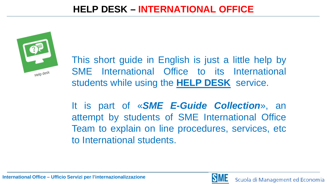

This short guide in English is just a little help by SME International Office to its International students while using the **HELP DESK** service.

It is part of «*SME E-Guide Collection*», an attempt by students of SME International Office Team to explain on line procedures, services, etc to International students.

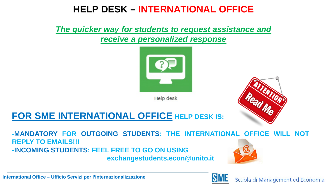#### *The quicker way for students to request assistance and receive a personalized response*



**Help desk** 



# **FOR SME INTERNATIONAL OFFICE HELP DESK IS:**

**-MANDATORY FOR OUTGOING STUDENTS: THE INTERNATIONAL OFFICE WILL NOT REPLY TO EMAILS!!! -INCOMING STUDENTS: FEEL FREE TO GO ON USING exchangestudents.econ@unito.it**

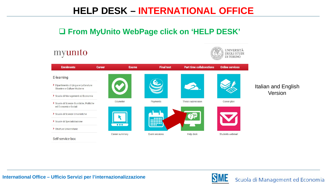#### **From MyUnito WebPage click on 'HELP DESK'**

#### UNIVERSITÀ myunito **DEGLI STUDI DI TORINO Enrolments Career Exams Final test Part time collaborations Online services** E-learning 3 > Dipartimento di Lingue e Letterature Italian and English Straniere e Culture Moderne Version> Scuola di Management ed Economia Edumeter Payments Thesis submission Career plan Scuola di Scienze Giuridiche, Politiche ed Economico-Sociali Scuola di Scienze Umanistiche Scuole di Specializzazione **ESSENT**  $\bullet\bullet\bullet$ > Strutture Universitarie Career summary Exam sessions Help desk Students webmail Self-service box

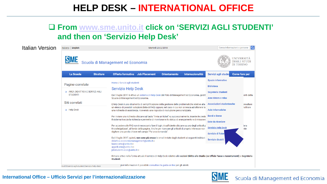#### **From [www.sme.unito.it](https://www.sme.unito.it/) click on 'SERVIZI AGLI STUDENTI' and then on 'Servizio Help Desk'**

| Italian Version | Italiano English                                                                                        |                  | Martedì 20/2/2018                                                                                                                                                                                                                                                                                                                                                                                                                                                                                                                                                                                                                                                                                                                                                                                                                                                                                                                                                            |                     | Cerca informazioni o persone<br>lQ                                                                                                                                                                                                                     |                                                           |                      |
|-----------------|---------------------------------------------------------------------------------------------------------|------------------|------------------------------------------------------------------------------------------------------------------------------------------------------------------------------------------------------------------------------------------------------------------------------------------------------------------------------------------------------------------------------------------------------------------------------------------------------------------------------------------------------------------------------------------------------------------------------------------------------------------------------------------------------------------------------------------------------------------------------------------------------------------------------------------------------------------------------------------------------------------------------------------------------------------------------------------------------------------------------|---------------------|--------------------------------------------------------------------------------------------------------------------------------------------------------------------------------------------------------------------------------------------------------|-----------------------------------------------------------|----------------------|
|                 | <b>SME</b>                                                                                              |                  | Scuola di Management ed Economia                                                                                                                                                                                                                                                                                                                                                                                                                                                                                                                                                                                                                                                                                                                                                                                                                                                                                                                                             |                     | UNIVERSITÀ<br><b>DEGLI STUDI</b><br>DI TORINO                                                                                                                                                                                                          |                                                           |                      |
|                 | La Scuola                                                                                               | <b>Strutture</b> | <b>Offerta formativa</b><br><b>Job Placement</b>                                                                                                                                                                                                                                                                                                                                                                                                                                                                                                                                                                                                                                                                                                                                                                                                                                                                                                                             | <b>Orientamento</b> | <b>Internazionalità</b>                                                                                                                                                                                                                                | Servizi agli studer                                       | <b>Come fare per</b> |
|                 | Pagine correlate<br>> AREA DIDATTICA E SERVIZI AGLI<br><b>STUDENTI</b><br>Siti correlati<br>> Help Desk |                  | Home / Servizi agli studenti<br>Servizio Help Desk<br>Dal 3 luglio 2017 è attivo un sistema di Help Desk del Polo di Management ed Economia, gestit<br>Scuola di Management ed Economia.<br>L'Help Desk è uno strumento di semplificazione della gestione delle problematiche relative alla<br>un elenco di possibili soluzioni (lista di FAQ) oppure, nel caso in cui non si riesca ad ottenere la<br>una richiesta di assistenza, ricevendo una risposta di risoluzione personalizzata.<br>Per inviare una richiesta cliccare sul tasto "Invia un ticket" e, successivamente, inserire le crede<br>Il sistema traccia la richiesta e permette di monitorarne lo status di avanzamento e di misurare<br>Per accedere alle FAQ non è necessario fare il login, è sufficiente cliccare su uno degli articoli p<br>Knowledgebase", al fondo della pagina. Anche per ricercare gli articoli di proprio interesse non<br>digitare una parola chiave nel campo "Fai una domanda". |                     | <b>Spazio informativo</b><br><b>Biblioteca</b><br>Segreteria Studenti<br>Aree ristoro e relax<br>Associazioni studentesche<br><b>Aule Informatiche</b><br><b>Bandi e Borse</b><br>Date da ricordare<br><b>Servizio Help Desk</b><br>Servizio di Tutora | enti della<br><b>pnsultare</b><br>holtrare<br>tera<br>nte |                      |
|                 | ito.it/it/servizi-agli-studenti/servizio-help-desk                                                      |                  | Dal 3 luglio 2017, quindi, non sono più evase le email inviate dagli studenti ai seguenti indirizzi:<br>didattica.economiamanagement@unito.it<br>lauree.sme@unito.it<br>appelli.sme@unito.it <b>ode</b><br>jobstudenti.econ@unito.it<br>Rimane attivo nella forma attuale il servizio di Help Desk relativo alle sezioni Diritto allo Studio (ex Ufficio Tasse e Accertamenti) e Segreteria<br>Studenti.<br>jiori informazioni è possibile consultare la guida on line per gli utenti.                                                                                                                                                                                                                                                                                                                                                                                                                                                                                       |                     |                                                                                                                                                                                                                                                        | Servizio disabili                                         |                      |

#### **International Office – Ufficio Servizi per l'internazionalizzazione**

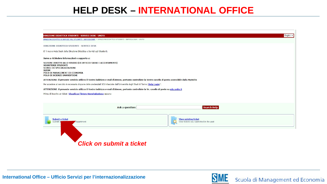| DIREZIONE DIDATTICA E SERVIZI AGLI STUDENTI - SERVICE DESK > DIREZIONE DIDATTICA STUDENTI - SERVICE DESK - UNITO<br>DIREZIONE DIDATTICA STUDENTI - SERVICE DESK<br>E' il nuovo Help Desk della Direzione Didattica e Servizi agli Studenti.<br>Serve a richiedere informazioni o supporto a:<br>SEZIONE DIRITTO ALLO STUDIO (EX UFFICIO TASSE E ACCERTAMENTI)<br><b>SEGRETERIE STUDENTI</b><br>SCUOLE DI SPECIALIZZAZIONE<br><b>SUISM</b><br>POLO DI MANAGEMENT ED ECONOMIA<br>POLO DI SCIENZE UMANISTICHE<br>ATTENZIONE: il presente servizio utilizza il Vostro indirizzo e-mail d'Ateneo, pertanto controllate la Vostra casella di posta accessibile dalla MyUniTo<br>Per accedere al servizio è necessario disporre delle credenziali SCU rilasciate dall'Università degli Studi di Torino (Help Login)".<br>ATTENZIONE: il presente servizio utilizza il Vostro indirizzo e-mail d'Ateneo, pertanto controllate la Vs. casella di posta su edu.unito.it<br>Prima di inserire un ticket Visualizza l'intera Knowledgebase oppure:<br>Search Help<br><b>Ask a question:</b><br>Submit a ticket<br><b>View existing ticket</b><br>View tickets you submitted in the past<br>Submit a<br>department | DIREZIONE DIDATTICA STUDENTI - SERVICE DESK - UNITO |  | English v |
|-------------------------------------------------------------------------------------------------------------------------------------------------------------------------------------------------------------------------------------------------------------------------------------------------------------------------------------------------------------------------------------------------------------------------------------------------------------------------------------------------------------------------------------------------------------------------------------------------------------------------------------------------------------------------------------------------------------------------------------------------------------------------------------------------------------------------------------------------------------------------------------------------------------------------------------------------------------------------------------------------------------------------------------------------------------------------------------------------------------------------------------------------------------------------------------------------------|-----------------------------------------------------|--|-----------|
|                                                                                                                                                                                                                                                                                                                                                                                                                                                                                                                                                                                                                                                                                                                                                                                                                                                                                                                                                                                                                                                                                                                                                                                                       |                                                     |  |           |
|                                                                                                                                                                                                                                                                                                                                                                                                                                                                                                                                                                                                                                                                                                                                                                                                                                                                                                                                                                                                                                                                                                                                                                                                       |                                                     |  |           |
|                                                                                                                                                                                                                                                                                                                                                                                                                                                                                                                                                                                                                                                                                                                                                                                                                                                                                                                                                                                                                                                                                                                                                                                                       |                                                     |  |           |
|                                                                                                                                                                                                                                                                                                                                                                                                                                                                                                                                                                                                                                                                                                                                                                                                                                                                                                                                                                                                                                                                                                                                                                                                       |                                                     |  |           |
|                                                                                                                                                                                                                                                                                                                                                                                                                                                                                                                                                                                                                                                                                                                                                                                                                                                                                                                                                                                                                                                                                                                                                                                                       |                                                     |  |           |
|                                                                                                                                                                                                                                                                                                                                                                                                                                                                                                                                                                                                                                                                                                                                                                                                                                                                                                                                                                                                                                                                                                                                                                                                       |                                                     |  |           |
|                                                                                                                                                                                                                                                                                                                                                                                                                                                                                                                                                                                                                                                                                                                                                                                                                                                                                                                                                                                                                                                                                                                                                                                                       |                                                     |  |           |
|                                                                                                                                                                                                                                                                                                                                                                                                                                                                                                                                                                                                                                                                                                                                                                                                                                                                                                                                                                                                                                                                                                                                                                                                       |                                                     |  |           |
|                                                                                                                                                                                                                                                                                                                                                                                                                                                                                                                                                                                                                                                                                                                                                                                                                                                                                                                                                                                                                                                                                                                                                                                                       |                                                     |  |           |
|                                                                                                                                                                                                                                                                                                                                                                                                                                                                                                                                                                                                                                                                                                                                                                                                                                                                                                                                                                                                                                                                                                                                                                                                       |                                                     |  |           |
|                                                                                                                                                                                                                                                                                                                                                                                                                                                                                                                                                                                                                                                                                                                                                                                                                                                                                                                                                                                                                                                                                                                                                                                                       |                                                     |  |           |
|                                                                                                                                                                                                                                                                                                                                                                                                                                                                                                                                                                                                                                                                                                                                                                                                                                                                                                                                                                                                                                                                                                                                                                                                       |                                                     |  |           |
|                                                                                                                                                                                                                                                                                                                                                                                                                                                                                                                                                                                                                                                                                                                                                                                                                                                                                                                                                                                                                                                                                                                                                                                                       |                                                     |  |           |
|                                                                                                                                                                                                                                                                                                                                                                                                                                                                                                                                                                                                                                                                                                                                                                                                                                                                                                                                                                                                                                                                                                                                                                                                       |                                                     |  |           |

*Click on submit a ticket*